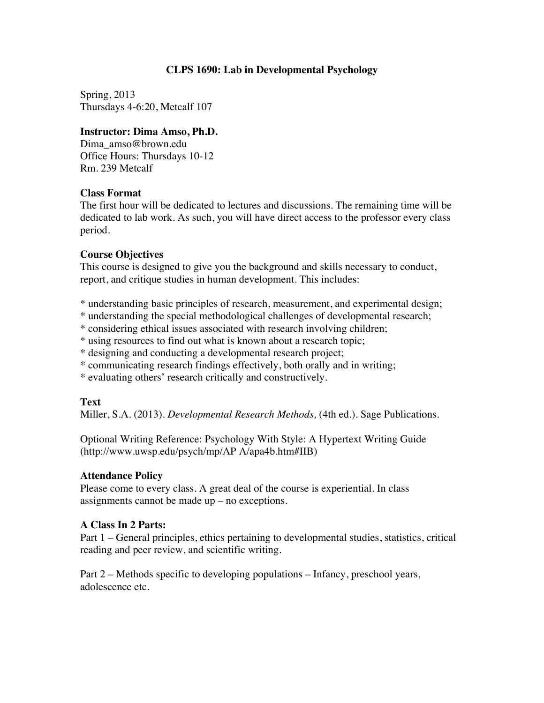## **CLPS 1690: Lab in Developmental Psychology**

Spring, 2013 Thursdays 4-6:20, Metcalf 107

## **Instructor: Dima Amso, Ph.D.**

Dima\_amso@brown.edu Office Hours: Thursdays 10-12 Rm. 239 Metcalf

## **Class Format**

The first hour will be dedicated to lectures and discussions. The remaining time will be dedicated to lab work. As such, you will have direct access to the professor every class period.

## **Course Objectives**

This course is designed to give you the background and skills necessary to conduct, report, and critique studies in human development. This includes:

\* understanding basic principles of research, measurement, and experimental design;

- \* understanding the special methodological challenges of developmental research;
- \* considering ethical issues associated with research involving children;
- \* using resources to find out what is known about a research topic;
- \* designing and conducting a developmental research project;
- \* communicating research findings effectively, both orally and in writing;
- \* evaluating others' research critically and constructively.

# **Text**

Miller, S.A. (2013). *Developmental Research Methods,* (4th ed.)*.* Sage Publications.

Optional Writing Reference: Psychology With Style: A Hypertext Writing Guide (http://www.uwsp.edu/psych/mp/AP A/apa4b.htm#IIB)

# **Attendance Policy**

Please come to every class. A great deal of the course is experiential. In class assignments cannot be made up – no exceptions.

# **A Class In 2 Parts:**

Part 1 – General principles, ethics pertaining to developmental studies, statistics, critical reading and peer review, and scientific writing.

Part 2 – Methods specific to developing populations – Infancy, preschool years, adolescence etc.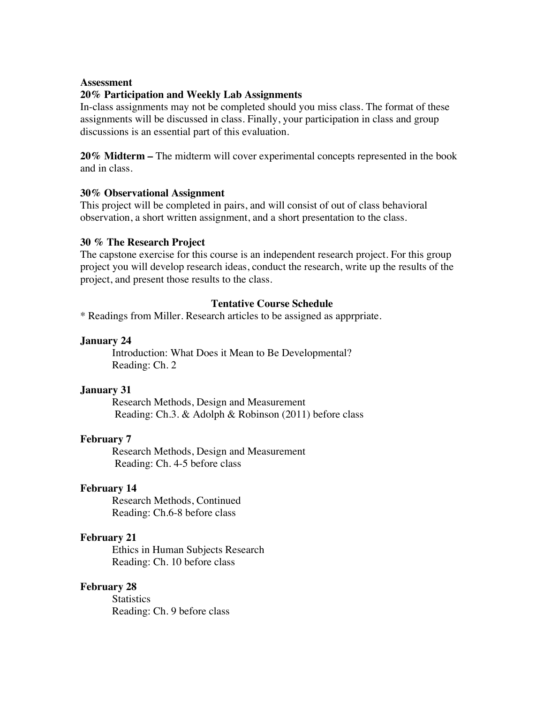### **Assessment**

#### **20% Participation and Weekly Lab Assignments**

In-class assignments may not be completed should you miss class. The format of these assignments will be discussed in class. Finally, your participation in class and group discussions is an essential part of this evaluation.

**20% Midterm –** The midterm will cover experimental concepts represented in the book and in class.

#### **30% Observational Assignment**

This project will be completed in pairs, and will consist of out of class behavioral observation, a short written assignment, and a short presentation to the class.

#### **30 % The Research Project**

The capstone exercise for this course is an independent research project. For this group project you will develop research ideas, conduct the research, write up the results of the project, and present those results to the class.

## **Tentative Course Schedule**

\* Readings from Miller. Research articles to be assigned as apprpriate.

#### **January 24**

Introduction: What Does it Mean to Be Developmental? Reading: Ch. 2

#### **January 31**

Research Methods, Design and Measurement Reading: Ch.3. & Adolph & Robinson (2011) before class

## **February 7**

Research Methods, Design and Measurement Reading: Ch. 4-5 before class

### **February 14**

Research Methods, Continued Reading: Ch.6-8 before class

#### **February 21**

Ethics in Human Subjects Research Reading: Ch. 10 before class

#### **February 28**

**Statistics** Reading: Ch. 9 before class